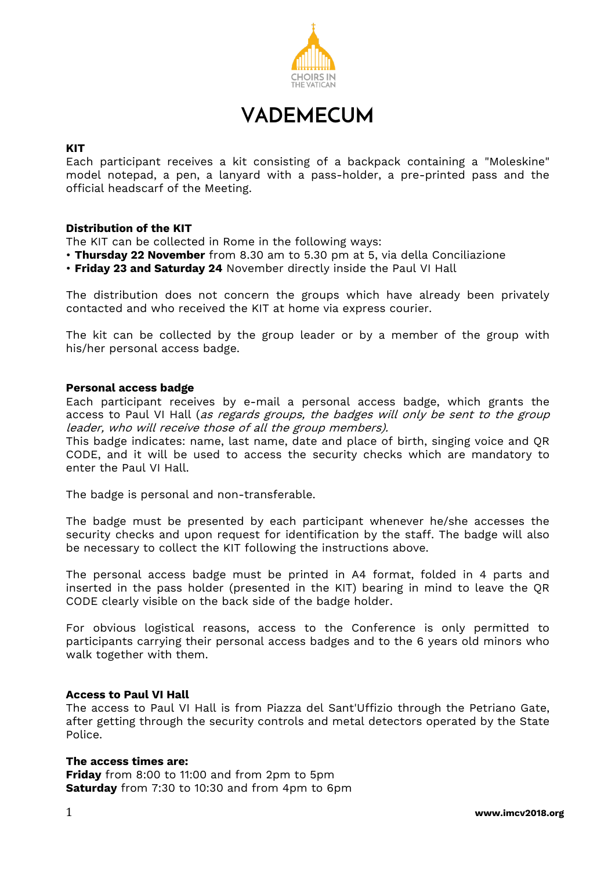

**VADEMECUM**

### **KIT**

Each participant receives a kit consisting of a backpack containing a "Moleskine" model notepad, a pen, a lanyard with a pass-holder, a pre-printed pass and the official headscarf of the Meeting.

# **Distribution of the KIT**

The KIT can be collected in Rome in the following ways:

- **Thursday 22 November** from 8.30 am to 5.30 pm at 5, via della Conciliazione
- **Friday 23 and Saturday 24** November directly inside the Paul VI Hall

The distribution does not concern the groups which have already been privately contacted and who received the KIT at home via express courier.

The kit can be collected by the group leader or by a member of the group with his/her personal access badge.

### **Personal access badge**

Each participant receives by e-mail a personal access badge, which grants the access to Paul VI Hall (as regards groups, the badges will only be sent to the group leader, who will receive those of all the group members).

This badge indicates: name, last name, date and place of birth, singing voice and QR CODE, and it will be used to access the security checks which are mandatory to enter the Paul VI Hall.

The badge is personal and non-transferable.

The badge must be presented by each participant whenever he/she accesses the security checks and upon request for identification by the staff. The badge will also be necessary to collect the KIT following the instructions above.

The personal access badge must be printed in A4 format, folded in 4 parts and inserted in the pass holder (presented in the KIT) bearing in mind to leave the QR CODE clearly visible on the back side of the badge holder.

For obvious logistical reasons, access to the Conference is only permitted to participants carrying their personal access badges and to the 6 years old minors who walk together with them.

### **Access to Paul VI Hall**

The access to Paul VI Hall is from Piazza del Sant'Uffizio through the Petriano Gate, after getting through the security controls and metal detectors operated by the State Police.

### **The access times are:**

**Friday** from 8:00 to 11:00 and from 2pm to 5pm **Saturday** from 7:30 to 10:30 and from 4pm to 6pm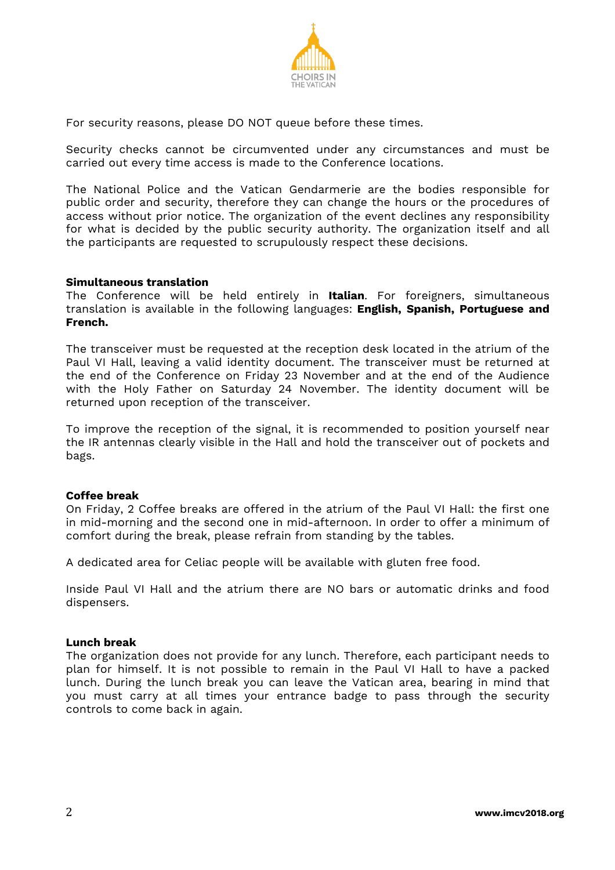

For security reasons, please DO NOT queue before these times.

Security checks cannot be circumvented under any circumstances and must be carried out every time access is made to the Conference locations.

The National Police and the Vatican Gendarmerie are the bodies responsible for public order and security, therefore they can change the hours or the procedures of access without prior notice. The organization of the event declines any responsibility for what is decided by the public security authority. The organization itself and all the participants are requested to scrupulously respect these decisions.

### **Simultaneous translation**

The Conference will be held entirely in **Italian**. For foreigners, simultaneous translation is available in the following languages: **English, Spanish, Portuguese and French.**

The transceiver must be requested at the reception desk located in the atrium of the Paul VI Hall, leaving a valid identity document. The transceiver must be returned at the end of the Conference on Friday 23 November and at the end of the Audience with the Holy Father on Saturday 24 November. The identity document will be returned upon reception of the transceiver.

To improve the reception of the signal, it is recommended to position yourself near the IR antennas clearly visible in the Hall and hold the transceiver out of pockets and bags.

### **Coffee break**

On Friday, 2 Coffee breaks are offered in the atrium of the Paul VI Hall: the first one in mid-morning and the second one in mid-afternoon. In order to offer a minimum of comfort during the break, please refrain from standing by the tables.

A dedicated area for Celiac people will be available with gluten free food.

Inside Paul VI Hall and the atrium there are NO bars or automatic drinks and food dispensers.

### **Lunch break**

The organization does not provide for any lunch. Therefore, each participant needs to plan for himself. It is not possible to remain in the Paul VI Hall to have a packed lunch. During the lunch break you can leave the Vatican area, bearing in mind that you must carry at all times your entrance badge to pass through the security controls to come back in again.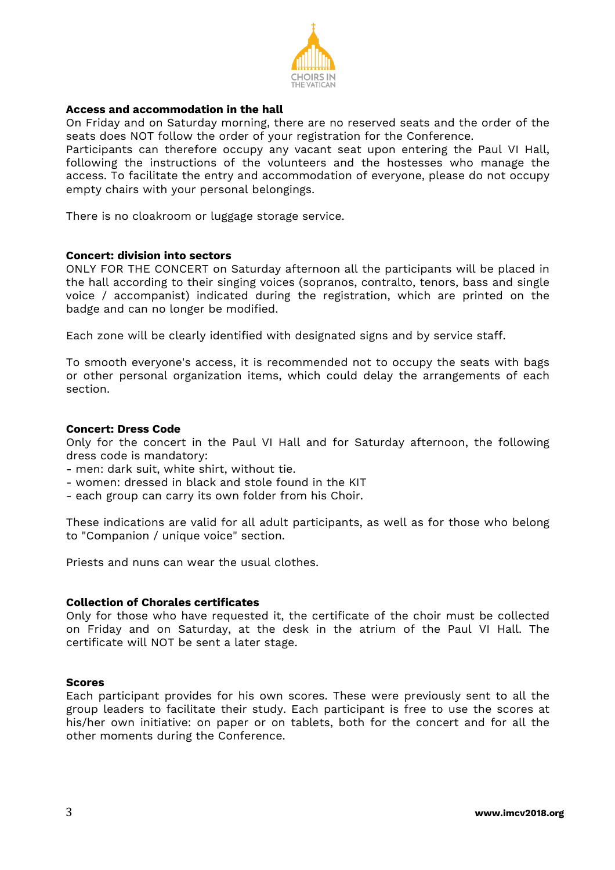

# **Access and accommodation in the hall**

On Friday and on Saturday morning, there are no reserved seats and the order of the seats does NOT follow the order of your registration for the Conference.

Participants can therefore occupy any vacant seat upon entering the Paul VI Hall, following the instructions of the volunteers and the hostesses who manage the access. To facilitate the entry and accommodation of everyone, please do not occupy empty chairs with your personal belongings.

There is no cloakroom or luggage storage service.

#### **Concert: division into sectors**

ONLY FOR THE CONCERT on Saturday afternoon all the participants will be placed in the hall according to their singing voices (sopranos, contralto, tenors, bass and single voice / accompanist) indicated during the registration, which are printed on the badge and can no longer be modified.

Each zone will be clearly identified with designated signs and by service staff.

To smooth everyone's access, it is recommended not to occupy the seats with bags or other personal organization items, which could delay the arrangements of each section.

### **Concert: Dress Code**

Only for the concert in the Paul VI Hall and for Saturday afternoon, the following dress code is mandatory:

- men: dark suit, white shirt, without tie.
- women: dressed in black and stole found in the KIT
- each group can carry its own folder from his Choir.

These indications are valid for all adult participants, as well as for those who belong to "Companion / unique voice" section.

Priests and nuns can wear the usual clothes.

#### **Collection of Chorales certificates**

Only for those who have requested it, the certificate of the choir must be collected on Friday and on Saturday, at the desk in the atrium of the Paul VI Hall. The certificate will NOT be sent a later stage.

#### **Scores**

Each participant provides for his own scores. These were previously sent to all the group leaders to facilitate their study. Each participant is free to use the scores at his/her own initiative: on paper or on tablets, both for the concert and for all the other moments during the Conference.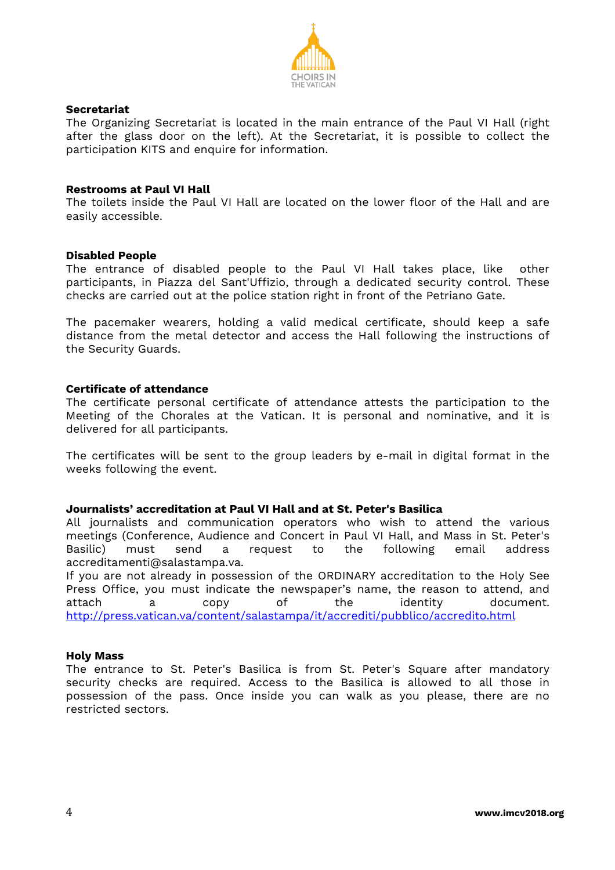

# **Secretariat**

The Organizing Secretariat is located in the main entrance of the Paul VI Hall (right after the glass door on the left). At the Secretariat, it is possible to collect the participation KITS and enquire for information.

### **Restrooms at Paul VI Hall**

The toilets inside the Paul VI Hall are located on the lower floor of the Hall and are easily accessible.

### **Disabled People**

The entrance of disabled people to the Paul VI Hall takes place, like other participants, in Piazza del Sant'Uffizio, through a dedicated security control. These checks are carried out at the police station right in front of the Petriano Gate.

The pacemaker wearers, holding a valid medical certificate, should keep a safe distance from the metal detector and access the Hall following the instructions of the Security Guards.

# **Certificate of attendance**

The certificate personal certificate of attendance attests the participation to the Meeting of the Chorales at the Vatican. It is personal and nominative, and it is delivered for all participants.

The certificates will be sent to the group leaders by e-mail in digital format in the weeks following the event.

### **Journalists' accreditation at Paul VI Hall and at St. Peter's Basilica**

All journalists and communication operators who wish to attend the various meetings (Conference, Audience and Concert in Paul VI Hall, and Mass in St. Peter's<br>Basilic) must send a request to the following email address Basilic) must send a request to the following email address accreditamenti@salastampa.va.

If you are not already in possession of the ORDINARY accreditation to the Holy See Press Office, you must indicate the newspaper's name, the reason to attend, and attach a copy of the identity document. <http://press.vatican.va/content/salastampa/it/accrediti/pubblico/accredito.html>

# **Holy Mass**

The entrance to St. Peter's Basilica is from St. Peter's Square after mandatory security checks are required. Access to the Basilica is allowed to all those in possession of the pass. Once inside you can walk as you please, there are no restricted sectors.